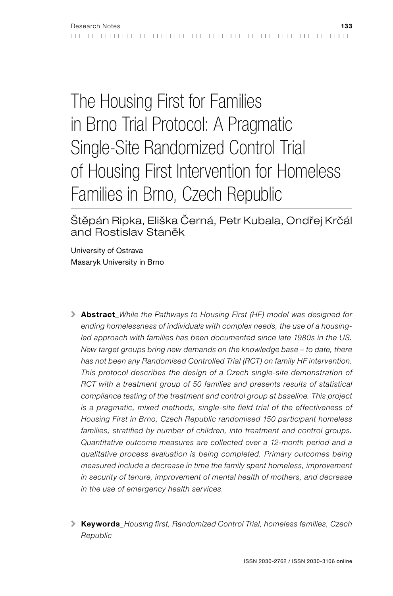# The Housing First for Families in Brno Trial Protocol: A Pragmatic Single-Site Randomized Control Trial of Housing First Intervention for Homeless Families in Brno, Czech Republic

Štěpán Ripka, Eliška Černá, Petr Kubala, Ondřej Krčál and Rostislav Staněk

University of Ostrava Masaryk University in Brno

- \ Abstract*\_While the Pathways to Housing First (HF) model was designed for ending homelessness of individuals with complex needs, the use of a housing*led approach with families has been documented since late 1980s in the US. *New target groups bring new demands on the knowledge base – to date, there has not been any Randomised Controlled Trial (RCT) on family HF intervention.*  This protocol describes the design of a Czech single-site demonstration of *RCT with a treatment group of 50 families and presents results of statistical compliance testing of the treatment and control group at baseline. This project is a pragmatic, mixed methods, single-site field trial of the effectiveness of Housing First in Brno, Czech Republic randomised 150 participant homeless*  families, stratified by number of children, into treatment and control groups. *Quantitative outcome measures are collected over a 12-month period and a qualitative process evaluation is being completed. Primary outcomes being measured include a decrease in time the family spent homeless, improvement in security of tenure, improvement of mental health of mothers, and decrease in the use of emergency health services.*
- \ Keywords*\_Housing first, Randomized Control Trial, homeless families, Czech Republic*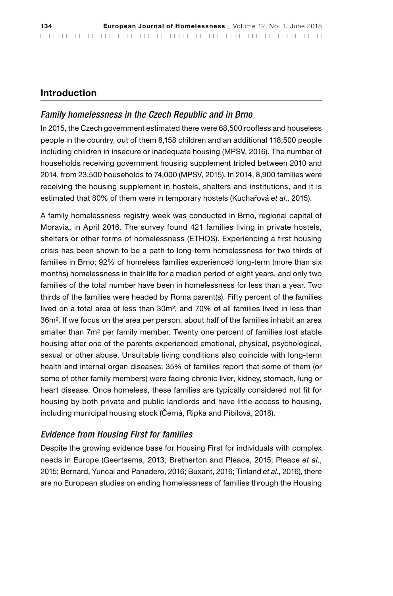# Introduction

# *Family homelessness in the Czech Republic and in Brno*

In 2015, the Czech government estimated there were 68,500 roofless and houseless people in the country, out of them 8,158 children and an additional 118,500 people including children in insecure or inadequate housing (MPSV, 2016). The number of households receiving government housing supplement tripled between 2010 and 2014, from 23,500 households to 74,000 (MPSV, 2015). In 2014, 8,900 families were receiving the housing supplement in hostels, shelters and institutions, and it is estimated that 80% of them were in temporary hostels (Kuchařová *et al*., 2015).

A family homelessness registry week was conducted in Brno, regional capital of Moravia, in April 2016. The survey found 421 families living in private hostels, shelters or other forms of homelessness (ETHOS). Experiencing a first housing crisis has been shown to be a path to long-term homelessness for two thirds of families in Brno; 92% of homeless families experienced long-term (more than six months) homelessness in their life for a median period of eight years, and only two families of the total number have been in homelessness for less than a year. Two thirds of the families were headed by Roma parent(s). Fifty percent of the families lived on a total area of less than 30m², and 70% of all families lived in less than 36m². If we focus on the area per person, about half of the families inhabit an area smaller than 7m² per family member. Twenty one percent of families lost stable housing after one of the parents experienced emotional, physical, psychological, sexual or other abuse. Unsuitable living conditions also coincide with long-term health and internal organ diseases: 35% of families report that some of them (or some of other family members) were facing chronic liver, kidney, stomach, lung or heart disease. Once homeless, these families are typically considered not fit for housing by both private and public landlords and have little access to housing, including municipal housing stock (Černá, Ripka and Pibilová, 2018).

## *Evidence from Housing First for families*

Despite the growing evidence base for Housing First for individuals with complex needs in Europe (Geertsema, 2013; Bretherton and Pleace, 2015; Pleace *et al*., 2015; Bernard, Yuncal and Panadero, 2016; Buxant, 2016; Tinland *et al*., 2016), there are no European studies on ending homelessness of families through the Housing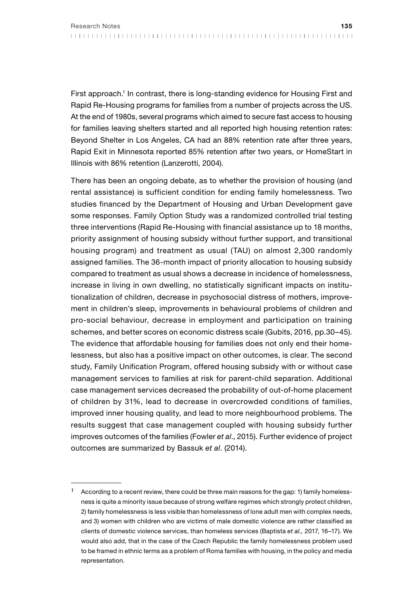First approach.1 In contrast, there is long-standing evidence for Housing First and Rapid Re-Housing programs for families from a number of projects across the US. At the end of 1980s, several programs which aimed to secure fast access to housing for families leaving shelters started and all reported high housing retention rates: Beyond Shelter in Los Angeles, CA had an 88% retention rate after three years, Rapid Exit in Minnesota reported 85% retention after two years, or HomeStart in Illinois with 86% retention (Lanzerotti, 2004).

There has been an ongoing debate, as to whether the provision of housing (and rental assistance) is sufficient condition for ending family homelessness. Two studies financed by the Department of Housing and Urban Development gave some responses. Family Option Study was a randomized controlled trial testing three interventions (Rapid Re-Housing with financial assistance up to 18 months, priority assignment of housing subsidy without further support, and transitional housing program) and treatment as usual (TAU) on almost 2,300 randomly assigned families. The 36-month impact of priority allocation to housing subsidy compared to treatment as usual shows a decrease in incidence of homelessness, increase in living in own dwelling, no statistically significant impacts on institutionalization of children, decrease in psychosocial distress of mothers, improvement in children's sleep, improvements in behavioural problems of children and pro-social behaviour, decrease in employment and participation on training schemes, and better scores on economic distress scale (Gubits, 2016, pp.30–45). The evidence that affordable housing for families does not only end their homelessness, but also has a positive impact on other outcomes, is clear. The second study, Family Unification Program, offered housing subsidy with or without case management services to families at risk for parent-child separation. Additional case management services decreased the probability of out-of-home placement of children by 31%, lead to decrease in overcrowded conditions of families, improved inner housing quality, and lead to more neighbourhood problems. The results suggest that case management coupled with housing subsidy further improves outcomes of the families (Fowler *et al*., 2015). Further evidence of project outcomes are summarized by Bassuk *et al*. (2014).

According to a recent review, there could be three main reasons for the gap: 1) family homelessness is quite a minority issue because of strong welfare regimes which strongly protect children, 2) family homelessness is less visible than homelessness of lone adult men with complex needs, and 3) women with children who are victims of male domestic violence are rather classified as clients of domestic violence services, than homeless services (Baptista *et al.,* 2017, 16–17). We would also add, that in the case of the Czech Republic the family homelessness problem used to be framed in ethnic terms as a problem of Roma families with housing, in the policy and media representation.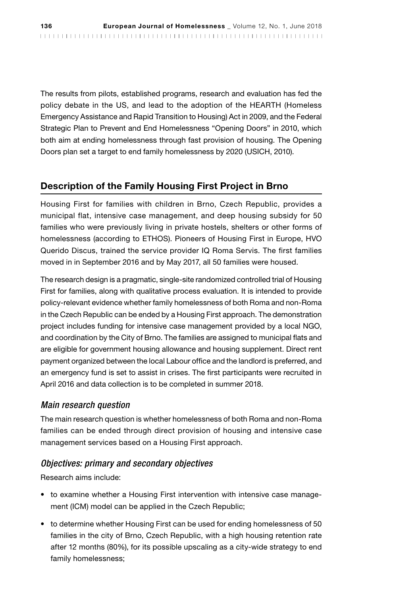The results from pilots, established programs, research and evaluation has fed the policy debate in the US, and lead to the adoption of the HEARTH (Homeless Emergency Assistance and Rapid Transition to Housing) Act in 2009, and the Federal Strategic Plan to Prevent and End Homelessness "Opening Doors" in 2010, which both aim at ending homelessness through fast provision of housing. The Opening Doors plan set a target to end family homelessness by 2020 (USICH, 2010).

# Description of the Family Housing First Project in Brno

Housing First for families with children in Brno, Czech Republic, provides a municipal flat, intensive case management, and deep housing subsidy for 50 families who were previously living in private hostels, shelters or other forms of homelessness (according to ETHOS). Pioneers of Housing First in Europe, HVO Querido Discus, trained the service provider IQ Roma Servis. The first families moved in in September 2016 and by May 2017, all 50 families were housed.

The research design is a pragmatic, single-site randomized controlled trial of Housing First for families, along with qualitative process evaluation. It is intended to provide policy-relevant evidence whether family homelessness of both Roma and non-Roma in the Czech Republic can be ended by a Housing First approach. The demonstration project includes funding for intensive case management provided by a local NGO, and coordination by the City of Brno. The families are assigned to municipal flats and are eligible for government housing allowance and housing supplement. Direct rent payment organized between the local Labour office and the landlord is preferred, and an emergency fund is set to assist in crises. The first participants were recruited in April 2016 and data collection is to be completed in summer 2018.

#### *Main research question*

The main research question is whether homelessness of both Roma and non-Roma families can be ended through direct provision of housing and intensive case management services based on a Housing First approach.

#### *Objectives: primary and secondary objectives*

Research aims include:

- to examine whether a Housing First intervention with intensive case management (ICM) model can be applied in the Czech Republic;
- to determine whether Housing First can be used for ending homelessness of 50 families in the city of Brno, Czech Republic, with a high housing retention rate after 12 months (80%), for its possible upscaling as a city-wide strategy to end family homelessness;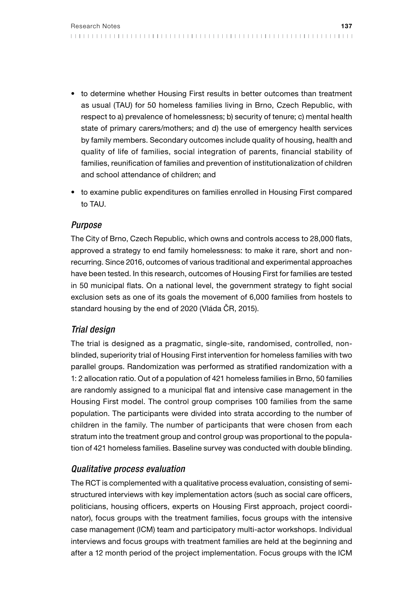- to determine whether Housing First results in better outcomes than treatment as usual (TAU) for 50 homeless families living in Brno, Czech Republic, with respect to a) prevalence of homelessness; b) security of tenure; c) mental health state of primary carers/mothers; and d) the use of emergency health services by family members. Secondary outcomes include quality of housing, health and quality of life of families, social integration of parents, financial stability of families, reunification of families and prevention of institutionalization of children and school attendance of children; and
- to examine public expenditures on families enrolled in Housing First compared to TAU.

## *Purpose*

The City of Brno, Czech Republic, which owns and controls access to 28,000 flats, approved a strategy to end family homelessness: to make it rare, short and nonrecurring. Since 2016, outcomes of various traditional and experimental approaches have been tested. In this research, outcomes of Housing First for families are tested in 50 municipal flats. On a national level, the government strategy to fight social exclusion sets as one of its goals the movement of 6,000 families from hostels to standard housing by the end of 2020 (Vláda ČR, 2015).

# *Trial design*

The trial is designed as a pragmatic, single-site, randomised, controlled, nonblinded, superiority trial of Housing First intervention for homeless families with two parallel groups. Randomization was performed as stratified randomization with a 1: 2 allocation ratio. Out of a population of 421 homeless families in Brno, 50 families are randomly assigned to a municipal flat and intensive case management in the Housing First model. The control group comprises 100 families from the same population. The participants were divided into strata according to the number of children in the family. The number of participants that were chosen from each stratum into the treatment group and control group was proportional to the population of 421 homeless families. Baseline survey was conducted with double blinding.

# *Qualitative process evaluation*

The RCT is complemented with a qualitative process evaluation, consisting of semistructured interviews with key implementation actors (such as social care officers, politicians, housing officers, experts on Housing First approach, project coordinator), focus groups with the treatment families, focus groups with the intensive case management (ICM) team and participatory multi-actor workshops. Individual interviews and focus groups with treatment families are held at the beginning and after a 12 month period of the project implementation. Focus groups with the ICM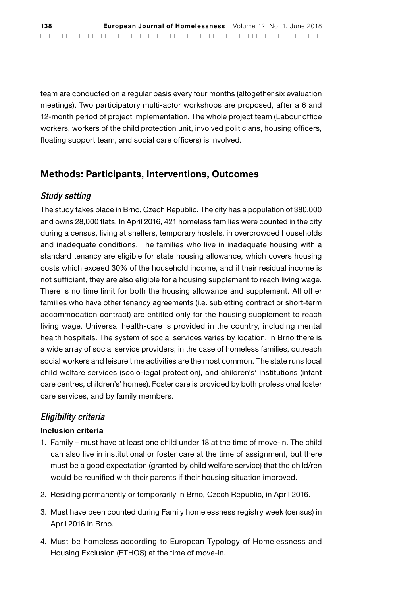team are conducted on a regular basis every four months (altogether six evaluation meetings). Two participatory multi-actor workshops are proposed, after a 6 and 12-month period of project implementation. The whole project team (Labour office workers, workers of the child protection unit, involved politicians, housing officers, floating support team, and social care officers) is involved.

## Methods: Participants, Interventions, Outcomes

#### *Study setting*

The study takes place in Brno, Czech Republic. The city has a population of 380,000 and owns 28,000 flats. In April 2016, 421 homeless families were counted in the city during a census, living at shelters, temporary hostels, in overcrowded households and inadequate conditions. The families who live in inadequate housing with a standard tenancy are eligible for state housing allowance, which covers housing costs which exceed 30% of the household income, and if their residual income is not sufficient, they are also eligible for a housing supplement to reach living wage. There is no time limit for both the housing allowance and supplement. All other families who have other tenancy agreements (i.e. subletting contract or short-term accommodation contract) are entitled only for the housing supplement to reach living wage. Universal health-care is provided in the country, including mental health hospitals. The system of social services varies by location, in Brno there is a wide array of social service providers; in the case of homeless families, outreach social workers and leisure time activities are the most common. The state runs local child welfare services (socio-legal protection), and children's' institutions (infant care centres, children's' homes). Foster care is provided by both professional foster care services, and by family members.

## *Eligibility criteria*

#### Inclusion criteria

- 1. Family must have at least one child under 18 at the time of move-in. The child can also live in institutional or foster care at the time of assignment, but there must be a good expectation (granted by child welfare service) that the child/ren would be reunified with their parents if their housing situation improved.
- 2. Residing permanently or temporarily in Brno, Czech Republic, in April 2016.
- 3. Must have been counted during Family homelessness registry week (census) in April 2016 in Brno.
- 4. Must be homeless according to European Typology of Homelessness and Housing Exclusion (ETHOS) at the time of move-in.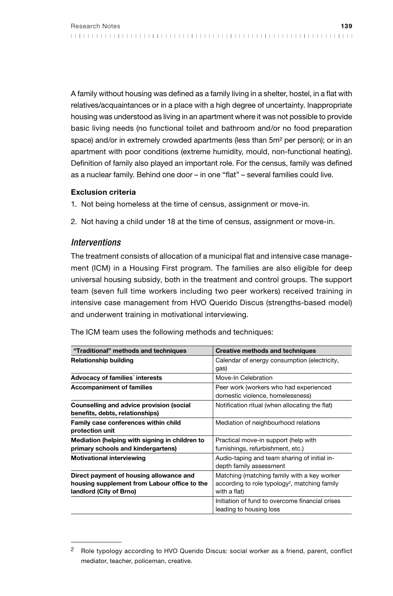A family without housing was defined as a family living in a shelter, hostel, in a flat with relatives/acquaintances or in a place with a high degree of uncertainty. Inappropriate housing was understood as living in an apartment where it was not possible to provide basic living needs (no functional toilet and bathroom and/or no food preparation space) and/or in extremely crowded apartments (less than 5m<sup>2</sup> per person); or in an apartment with poor conditions (extreme humidity, mould, non-functional heating). Definition of family also played an important role. For the census, family was defined as a nuclear family. Behind one door – in one "flat" – several families could live.

#### Exclusion criteria

- 1. Not being homeless at the time of census, assignment or move-in.
- 2. Not having a child under 18 at the time of census, assignment or move-in.

#### *Interventions*

The treatment consists of allocation of a municipal flat and intensive case management (ICM) in a Housing First program. The families are also eligible for deep universal housing subsidy, both in the treatment and control groups. The support team (seven full time workers including two peer workers) received training in intensive case management from HVO Querido Discus (strengths-based model) and underwent training in motivational interviewing.

The ICM team uses the following methods and techniques:

| "Traditional" methods and techniques                                                                               | Creative methods and techniques                                                                                          |
|--------------------------------------------------------------------------------------------------------------------|--------------------------------------------------------------------------------------------------------------------------|
| <b>Relationship building</b>                                                                                       | Calendar of energy consumption (electricity,<br>gas)                                                                     |
| Advocacy of families' interests                                                                                    | Move-In Celebration                                                                                                      |
| <b>Accompaniment of families</b>                                                                                   | Peer work (workers who had experienced<br>domestic violence, homelessness)                                               |
| Counselling and advice provision (social<br>benefits, debts, relationships)                                        | Notification ritual (when allocating the flat)                                                                           |
| Family case conferences within child<br>protection unit                                                            | Mediation of neighbourhood relations                                                                                     |
| Mediation (helping with signing in children to<br>primary schools and kindergartens)                               | Practical move-in support (help with<br>furnishings, refurbishment, etc.)                                                |
| <b>Motivational interviewing</b>                                                                                   | Audio-taping and team sharing of initial in-<br>depth family assessment                                                  |
| Direct payment of housing allowance and<br>housing supplement from Labour office to the<br>landlord (City of Brno) | Matching (matching family with a key worker<br>according to role typology <sup>2</sup> , matching family<br>with a flat) |
|                                                                                                                    | Initiation of fund to overcome financial crises<br>leading to housing loss                                               |

*<sup>2</sup>* Role typology according to HVO Querido Discus: social worker as a friend, parent, conflict mediator, teacher, policeman, creative.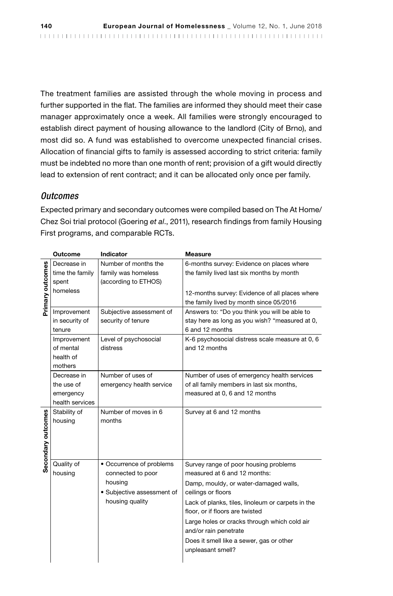The treatment families are assisted through the whole moving in process and further supported in the flat. The families are informed they should meet their case manager approximately once a week. All families were strongly encouraged to establish direct payment of housing allowance to the landlord (City of Brno), and most did so. A fund was established to overcome unexpected financial crises. Allocation of financial gifts to family is assessed according to strict criteria: family must be indebted no more than one month of rent; provision of a gift would directly lead to extension of rent contract; and it can be allocated only once per family.

## *Outcomes*

Expected primary and secondary outcomes were compiled based on The At Home/ Chez Soi trial protocol (Goering *et al*., 2011), research findings from family Housing First programs, and comparable RCTs.

|                    | <b>Outcome</b>  | Indicator                  | Measure                                           |
|--------------------|-----------------|----------------------------|---------------------------------------------------|
|                    | Decrease in     | Number of months the       | 6-months survey: Evidence on places where         |
|                    | time the family | family was homeless        | the family lived last six months by month         |
|                    | spent           | (according to ETHOS)       |                                                   |
|                    | homeless        |                            | 12-months survey: Evidence of all places where    |
| Primary outcomes   |                 |                            | the family lived by month since 05/2016           |
|                    | Improvement     | Subjective assessment of   | Answers to: "Do you think you will be able to     |
|                    | in security of  | security of tenure         | stay here as long as you wish? "measured at 0,    |
|                    | tenure          |                            | 6 and 12 months                                   |
|                    | Improvement     | Level of psychosocial      | K-6 psychosocial distress scale measure at 0, 6   |
|                    | of mental       | distress                   | and 12 months                                     |
|                    | health of       |                            |                                                   |
|                    | mothers         |                            |                                                   |
|                    | Decrease in     | Number of uses of          | Number of uses of emergency health services       |
|                    | the use of      | emergency health service   | of all family members in last six months,         |
|                    | emergency       |                            | measured at 0, 6 and 12 months                    |
|                    | health services |                            |                                                   |
|                    | Stability of    | Number of moves in 6       | Survey at 6 and 12 months                         |
|                    | housing         | months                     |                                                   |
|                    |                 |                            |                                                   |
|                    |                 |                            |                                                   |
| Secondary outcomes |                 |                            |                                                   |
|                    | Quality of      | • Occurrence of problems   | Survey range of poor housing problems             |
|                    | housing         | connected to poor          | measured at 6 and 12 months:                      |
|                    |                 | housing                    | Damp, mouldy, or water-damaged walls,             |
|                    |                 | • Subjective assessment of | ceilings or floors                                |
|                    |                 | housing quality            | Lack of planks, tiles, linoleum or carpets in the |
|                    |                 |                            | floor, or if floors are twisted                   |
|                    |                 |                            | Large holes or cracks through which cold air      |
|                    |                 |                            | and/or rain penetrate                             |
|                    |                 |                            | Does it smell like a sewer, gas or other          |
|                    |                 |                            | unpleasant smell?                                 |
|                    |                 |                            |                                                   |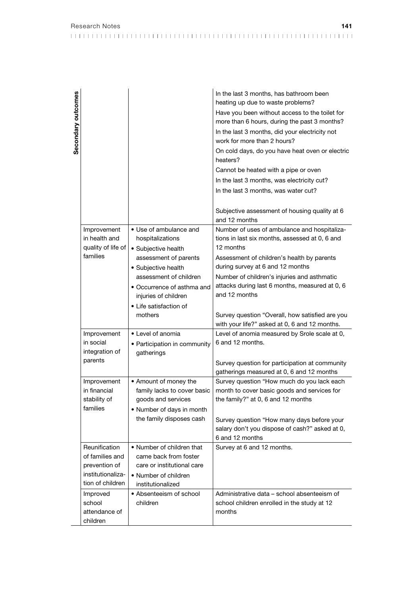| Research Notes |  |  |  |  |  |  |  |  |  |  |  |  |  |  |  |  |  |  |  |  |  |
|----------------|--|--|--|--|--|--|--|--|--|--|--|--|--|--|--|--|--|--|--|--|--|
|                |  |  |  |  |  |  |  |  |  |  |  |  |  |  |  |  |  |  |  |  |  |

In the last 3 months, has bathroom been heating up due to waste problems?

| ì<br>ì |  |
|--------|--|

 $\overline{\phantom{a}}$ 

|                                |                                                    | Have you been without access to the toilet for<br>more than 6 hours, during the past 3 months?<br>In the last 3 months, did your electricity not<br>work for more than 2 hours? |
|--------------------------------|----------------------------------------------------|---------------------------------------------------------------------------------------------------------------------------------------------------------------------------------|
|                                |                                                    | On cold days, do you have heat oven or electric<br>heaters?                                                                                                                     |
|                                |                                                    | Cannot be heated with a pipe or oven                                                                                                                                            |
|                                |                                                    | In the last 3 months, was electricity cut?                                                                                                                                      |
|                                |                                                    | In the last 3 months, was water cut?                                                                                                                                            |
|                                |                                                    |                                                                                                                                                                                 |
|                                |                                                    | Subjective assessment of housing quality at 6<br>and 12 months                                                                                                                  |
| Improvement                    | • Use of ambulance and                             | Number of uses of ambulance and hospitaliza-                                                                                                                                    |
| in health and                  | hospitalizations                                   | tions in last six months, assessed at 0, 6 and                                                                                                                                  |
| quality of life of<br>families | • Subjective health                                | 12 months                                                                                                                                                                       |
|                                | assessment of parents                              | Assessment of children's health by parents                                                                                                                                      |
|                                | · Subjective health<br>assessment of children      | during survey at 6 and 12 months                                                                                                                                                |
|                                |                                                    | Number of children's injuries and asthmatic<br>attacks during last 6 months, measured at 0, 6                                                                                   |
|                                | · Occurrence of asthma and<br>injuries of children | and 12 months                                                                                                                                                                   |
|                                | • Life satisfaction of                             |                                                                                                                                                                                 |
|                                | mothers                                            | Survey question "Overall, how satisfied are you                                                                                                                                 |
|                                |                                                    | with your life?" asked at 0, 6 and 12 months.                                                                                                                                   |
| Improvement                    | • Level of anomia                                  | Level of anomia measured by Srole scale at 0,                                                                                                                                   |
| in social                      | • Participation in community                       | 6 and 12 months.                                                                                                                                                                |
| integration of                 | gatherings                                         |                                                                                                                                                                                 |
| parents                        |                                                    | Survey question for participation at community                                                                                                                                  |
|                                |                                                    | gatherings measured at 0, 6 and 12 months                                                                                                                                       |
| Improvement                    | • Amount of money the                              | Survey question "How much do you lack each                                                                                                                                      |
| in financial                   | family lacks to cover basic                        | month to cover basic goods and services for                                                                                                                                     |
| stability of<br>families       | goods and services                                 | the family?" at 0, 6 and 12 months                                                                                                                                              |
|                                | • Number of days in month                          |                                                                                                                                                                                 |
|                                | the family disposes cash                           | Survey question "How many days before your                                                                                                                                      |
|                                |                                                    | salary don't you dispose of cash?" asked at 0,<br>6 and 12 months                                                                                                               |
| Reunification                  | • Number of children that                          | Survey at 6 and 12 months.                                                                                                                                                      |
| of families and                | came back from foster                              |                                                                                                                                                                                 |
| prevention of                  | care or institutional care                         |                                                                                                                                                                                 |
| institutionaliza-              | • Number of children                               |                                                                                                                                                                                 |
| tion of children               | institutionalized                                  |                                                                                                                                                                                 |
| Improved                       | • Absenteeism of school                            | Administrative data - school absenteeism of                                                                                                                                     |
| school                         | children                                           | school children enrolled in the study at 12                                                                                                                                     |
| attendance of                  |                                                    | months                                                                                                                                                                          |
| children                       |                                                    |                                                                                                                                                                                 |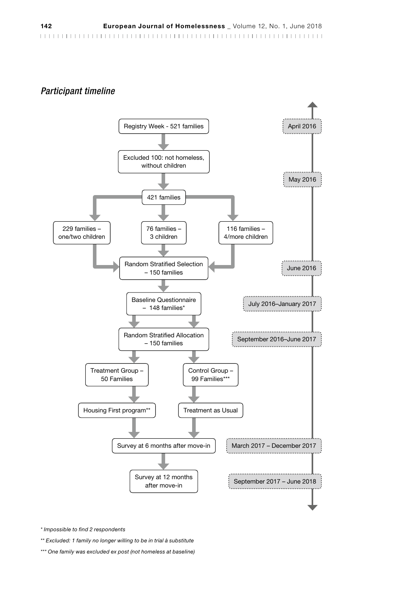#### *Participant timeline*



*\* Impossible to find 2 respondents*

*\*\* Excluded: 1 family no longer willing to be in trial à substitute*

*\*\*\* One family was excluded ex post (not homeless at baseline)*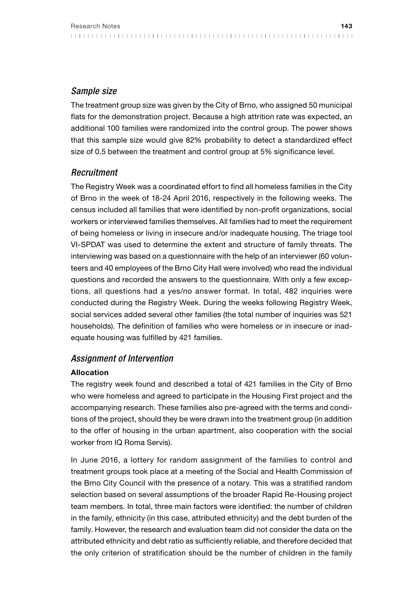## *Sample size*

The treatment group size was given by the City of Brno, who assigned 50 municipal flats for the demonstration project. Because a high attrition rate was expected, an additional 100 families were randomized into the control group. The power shows that this sample size would give 82% probability to detect a standardized effect size of 0.5 between the treatment and control group at 5% significance level.

# *Recruitment*

The Registry Week was a coordinated effort to find all homeless families in the City of Brno in the week of 18-24 April 2016, respectively in the following weeks. The census included all families that were identified by non-profit organizations, social workers or interviewed families themselves. All families had to meet the requirement of being homeless or living in insecure and/or inadequate housing. The triage tool VI-SPDAT was used to determine the extent and structure of family threats. The interviewing was based on a questionnaire with the help of an interviewer (60 volunteers and 40 employees of the Brno City Hall were involved) who read the individual questions and recorded the answers to the questionnaire. With only a few exceptions, all questions had a yes/no answer format. In total, 482 inquiries were conducted during the Registry Week. During the weeks following Registry Week, social services added several other families (the total number of inquiries was 521 households). The definition of families who were homeless or in insecure or inadequate housing was fulfilled by 421 families.

## *Assignment of Intervention*

#### Allocation

The registry week found and described a total of 421 families in the City of Brno who were homeless and agreed to participate in the Housing First project and the accompanying research. These families also pre-agreed with the terms and conditions of the project, should they be were drawn into the treatment group (in addition to the offer of housing in the urban apartment, also cooperation with the social worker from IQ Roma Servis).

In June 2016, a lottery for random assignment of the families to control and treatment groups took place at a meeting of the Social and Health Commission of the Brno City Council with the presence of a notary. This was a stratified random selection based on several assumptions of the broader Rapid Re-Housing project team members. In total, three main factors were identified: the number of children in the family, ethnicity (in this case, attributed ethnicity) and the debt burden of the family. However, the research and evaluation team did not consider the data on the attributed ethnicity and debt ratio as sufficiently reliable, and therefore decided that the only criterion of stratification should be the number of children in the family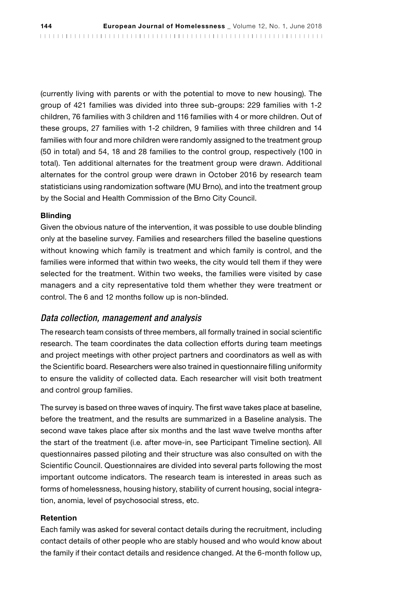(currently living with parents or with the potential to move to new housing). The group of 421 families was divided into three sub-groups: 229 families with 1-2 children, 76 families with 3 children and 116 families with 4 or more children. Out of these groups, 27 families with 1-2 children, 9 families with three children and 14 families with four and more children were randomly assigned to the treatment group (50 in total) and 54, 18 and 28 families to the control group, respectively (100 in total). Ten additional alternates for the treatment group were drawn. Additional alternates for the control group were drawn in October 2016 by research team statisticians using randomization software (MU Brno), and into the treatment group by the Social and Health Commission of the Brno City Council.

#### Blinding

Given the obvious nature of the intervention, it was possible to use double blinding only at the baseline survey. Families and researchers filled the baseline questions without knowing which family is treatment and which family is control, and the families were informed that within two weeks, the city would tell them if they were selected for the treatment. Within two weeks, the families were visited by case managers and a city representative told them whether they were treatment or control. The 6 and 12 months follow up is non-blinded.

#### *Data collection, management and analysis*

The research team consists of three members, all formally trained in social scientific research. The team coordinates the data collection efforts during team meetings and project meetings with other project partners and coordinators as well as with the Scientific board. Researchers were also trained in questionnaire filling uniformity to ensure the validity of collected data. Each researcher will visit both treatment and control group families.

The survey is based on three waves of inquiry. The first wave takes place at baseline, before the treatment, and the results are summarized in a Baseline analysis. The second wave takes place after six months and the last wave twelve months after the start of the treatment (i.e. after move-in, see Participant Timeline section). All questionnaires passed piloting and their structure was also consulted on with the Scientific Council. Questionnaires are divided into several parts following the most important outcome indicators. The research team is interested in areas such as forms of homelessness, housing history, stability of current housing, social integration, anomia, level of psychosocial stress, etc.

#### Retention

Each family was asked for several contact details during the recruitment, including contact details of other people who are stably housed and who would know about the family if their contact details and residence changed. At the 6-month follow up,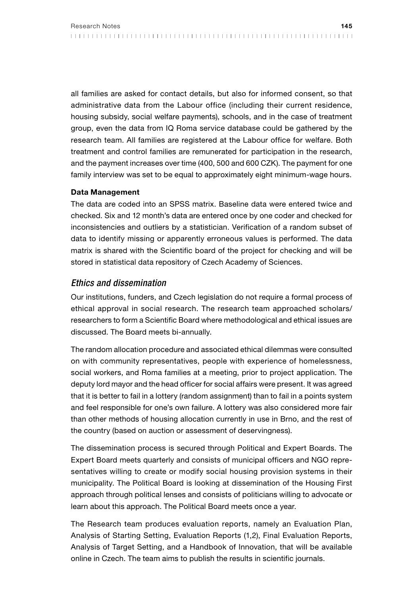all families are asked for contact details, but also for informed consent, so that administrative data from the Labour office (including their current residence, housing subsidy, social welfare payments), schools, and in the case of treatment group, even the data from IQ Roma service database could be gathered by the research team. All families are registered at the Labour office for welfare. Both treatment and control families are remunerated for participation in the research, and the payment increases over time (400, 500 and 600 CZK). The payment for one family interview was set to be equal to approximately eight minimum-wage hours.

#### Data Management

The data are coded into an SPSS matrix. Baseline data were entered twice and checked. Six and 12 month's data are entered once by one coder and checked for inconsistencies and outliers by a statistician. Verification of a random subset of data to identify missing or apparently erroneous values is performed. The data matrix is shared with the Scientific board of the project for checking and will be stored in statistical data repository of Czech Academy of Sciences.

#### *Ethics and dissemination*

Our institutions, funders, and Czech legislation do not require a formal process of ethical approval in social research. The research team approached scholars/ researchers to form a Scientific Board where methodological and ethical issues are discussed. The Board meets bi-annually.

The random allocation procedure and associated ethical dilemmas were consulted on with community representatives, people with experience of homelessness, social workers, and Roma families at a meeting, prior to project application. The deputy lord mayor and the head officer for social affairs were present. It was agreed that it is better to fail in a lottery (random assignment) than to fail in a points system and feel responsible for one's own failure. A lottery was also considered more fair than other methods of housing allocation currently in use in Brno, and the rest of the country (based on auction or assessment of deservingness).

The dissemination process is secured through Political and Expert Boards. The Expert Board meets quarterly and consists of municipal officers and NGO representatives willing to create or modify social housing provision systems in their municipality. The Political Board is looking at dissemination of the Housing First approach through political lenses and consists of politicians willing to advocate or learn about this approach. The Political Board meets once a year.

The Research team produces evaluation reports, namely an Evaluation Plan, Analysis of Starting Setting, Evaluation Reports (1,2), Final Evaluation Reports, Analysis of Target Setting, and a Handbook of Innovation, that will be available online in Czech. The team aims to publish the results in scientific journals.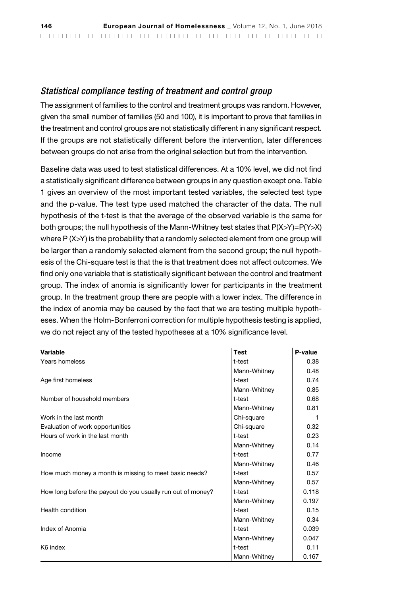## *Statistical compliance testing of treatment and control group*

The assignment of families to the control and treatment groups was random. However, given the small number of families (50 and 100), it is important to prove that families in the treatment and control groups are not statistically different in any significant respect. If the groups are not statistically different before the intervention, later differences between groups do not arise from the original selection but from the intervention.

Baseline data was used to test statistical differences. At a 10% level, we did not find a statistically significant difference between groups in any question except one. Table 1 gives an overview of the most important tested variables, the selected test type and the p-value. The test type used matched the character of the data. The null hypothesis of the t-test is that the average of the observed variable is the same for both groups; the null hypothesis of the Mann-Whitney test states that P(X>Y)=P(Y>X) where P (X>Y) is the probability that a randomly selected element from one group will be larger than a randomly selected element from the second group; the null hypothesis of the Chi-square test is that the is that treatment does not affect outcomes. We find only one variable that is statistically significant between the control and treatment group. The index of anomia is significantly lower for participants in the treatment group. In the treatment group there are people with a lower index. The difference in the index of anomia may be caused by the fact that we are testing multiple hypotheses. When the Holm-Bonferroni correction for multiple hypothesis testing is applied, we do not reject any of the tested hypotheses at a 10% significance level.

| Variable                                                    | <b>Test</b>  | P-value |
|-------------------------------------------------------------|--------------|---------|
| Years homeless                                              | t-test       | 0.38    |
|                                                             | Mann-Whitney | 0.48    |
| Age first homeless                                          | t-test       | 0.74    |
|                                                             | Mann-Whitney | 0.85    |
| Number of household members                                 | t-test       | 0.68    |
|                                                             | Mann-Whitney | 0.81    |
| Work in the last month                                      | Chi-square   | 1       |
| Evaluation of work opportunities                            | Chi-square   | 0.32    |
| Hours of work in the last month                             | t-test       | 0.23    |
|                                                             | Mann-Whitney | 0.14    |
| Income                                                      | t-test       | 0.77    |
|                                                             | Mann-Whitney | 0.46    |
| How much money a month is missing to meet basic needs?      | t-test       | 0.57    |
|                                                             | Mann-Whitney | 0.57    |
| How long before the payout do you usually run out of money? | t-test       | 0.118   |
|                                                             | Mann-Whitney | 0.197   |
| Health condition                                            | t-test       | 0.15    |
|                                                             | Mann-Whitney | 0.34    |
| Index of Anomia                                             | t-test       | 0.039   |
|                                                             | Mann-Whitney | 0.047   |
| K6 index                                                    | t-test       | 0.11    |
|                                                             | Mann-Whitney | 0.167   |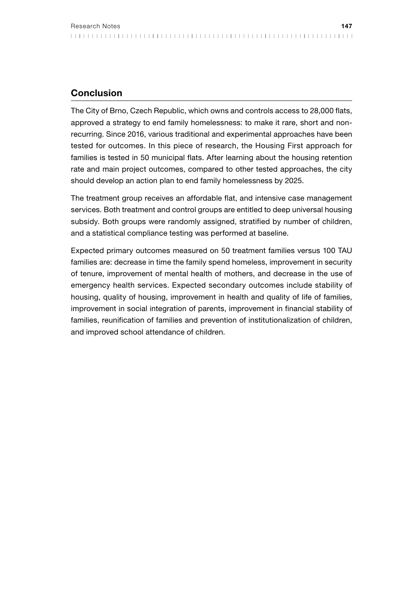# Conclusion

The City of Brno, Czech Republic, which owns and controls access to 28,000 flats, approved a strategy to end family homelessness: to make it rare, short and nonrecurring. Since 2016, various traditional and experimental approaches have been tested for outcomes. In this piece of research, the Housing First approach for families is tested in 50 municipal flats. After learning about the housing retention rate and main project outcomes, compared to other tested approaches, the city should develop an action plan to end family homelessness by 2025.

The treatment group receives an affordable flat, and intensive case management services. Both treatment and control groups are entitled to deep universal housing subsidy. Both groups were randomly assigned, stratified by number of children, and a statistical compliance testing was performed at baseline.

Expected primary outcomes measured on 50 treatment families versus 100 TAU families are: decrease in time the family spend homeless, improvement in security of tenure, improvement of mental health of mothers, and decrease in the use of emergency health services. Expected secondary outcomes include stability of housing, quality of housing, improvement in health and quality of life of families, improvement in social integration of parents, improvement in financial stability of families, reunification of families and prevention of institutionalization of children, and improved school attendance of children.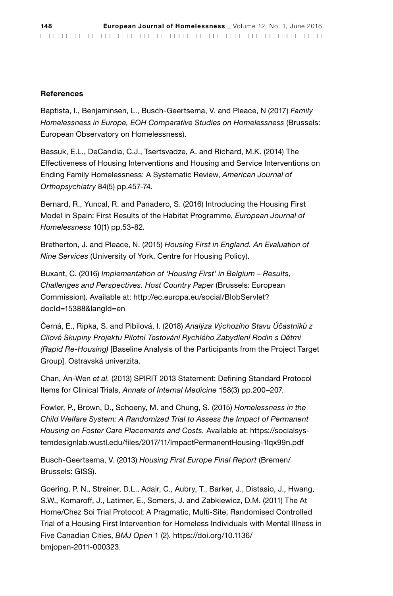#### References

Baptista, I., Benjaminsen, L., Busch-Geertsema, V. and Pleace, N (2017) *Family Homelessness in Europe, EOH Comparative Studies on Homelessness* (Brussels: European Observatory on Homelessness).

Bassuk, E.L., DeCandia, C.J., Tsertsvadze, A. and Richard, M.K. (2014) The Effectiveness of Housing Interventions and Housing and Service Interventions on Ending Family Homelessness: A Systematic Review, *American Journal of Orthopsychiatry* 84(5) pp.457-74.

Bernard, R., Yuncal, R. and Panadero, S. (2016) Introducing the Housing First Model in Spain: First Results of the Habitat Programme, *European Journal of Homelessness* 10(1) pp.53-82.

Bretherton, J. and Pleace, N. (2015) *Housing First in England. An Evaluation of Nine Services* (University of York, Centre for Housing Policy).

Buxant, C. (2016) *Implementation of 'Housing First' in Belgium – Results, Challenges and Perspectives. Host Country Paper* (Brussels: European Commission). Available at: http://ec.europa.eu/social/BlobServlet? docId=15388&langId=en

Černá, E., Ripka, S. and Pibilová, I. (2018) *Analýza Výchozího Stavu Účastníků z Cílové Skupiny Projektu Pilotní Testování Rychlého Zabydlení Rodin s Dětmi (Rapid Re-Housing)* [Baseline Analysis of the Participants from the Project Target Group]. Ostravská univerzita.

Chan, An-Wen *et al.* (2013) SPIRIT 2013 Statement: Defining Standard Protocol Items for Clinical Trials, *Annals of Internal Medicine* 158(3) pp.200–207.

Fowler, P., Brown, D., Schoeny, M. and Chung, S. (2015) *Homelessness in the Child Welfare System: A Randomized Trial to Assess the Impact of Permanent Housing on Foster Care Placements and Costs.* Available at: https://socialsystemdesignlab.wustl.edu/files/2017/11/ImpactPermanentHousing-1lqx99n.pdf

Busch-Geertsema, V. (2013) *Housing First Europe Final Report* (Bremen/ Brussels: GISS).

Goering, P. N., Streiner, D.L., Adair, C., Aubry, T., Barker, J., Distasio, J., Hwang, S.W., Komaroff, J., Latimer, E., Somers, J. and Zabkiewicz, D.M. (2011) The At Home/Chez Soi Trial Protocol: A Pragmatic, Multi-Site, Randomised Controlled Trial of a Housing First Intervention for Homeless Individuals with Mental Illness in Five Canadian Cities, *BMJ Open* 1 (2). https://doi.org/10.1136/ bmjopen-2011-000323.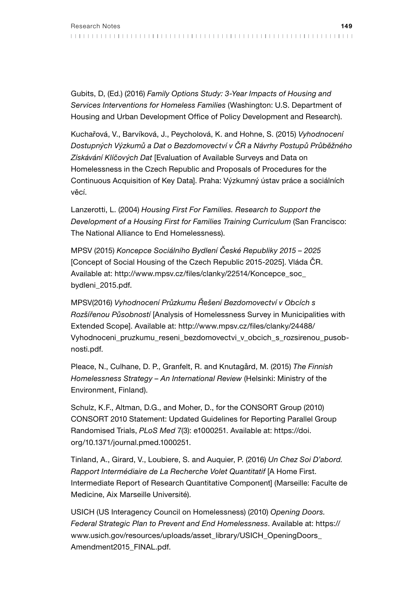Gubits, D, (Ed.) (2016) *Family Options Study: 3-Year Impacts of Housing and Services Interventions for Homeless Families* (Washington: U.S. Department of Housing and Urban Development Office of Policy Development and Research).

Kuchařová, V., Barvíková, J., Peycholová, K. and Hohne, S. (2015) *Vyhodnocení Dostupných Výzkumů a Dat o Bezdomovectví v ČR a Návrhy Postupů Průběžného Získávání Klíčových Dat* [Evaluation of Available Surveys and Data on Homelessness in the Czech Republic and Proposals of Procedures for the Continuous Acquisition of Key Data]. Praha: Výzkumný ústav práce a sociálních věcí.

Lanzerotti, L. (2004) *Housing First For Families. Research to Support the Development of a Housing First for Families Training Curriculum* (San Francisco: The National Alliance to End Homelessness).

MPSV (2015) *Koncepce Sociálního Bydlení České Republiky 2015 – 2025*  [Concept of Social Housing of the Czech Republic 2015-2025]. Vláda ČR. Available at: http://www.mpsv.cz/files/clanky/22514/Koncepce\_soc\_ bydleni\_2015.pdf.

MPSV(2016) *Vyhodnocení Průzkumu Řešení Bezdomovectví v Obcích s Rozšířenou Působností* [Analysis of Homelessness Survey in Municipalities with Extended Scope]. Available at: http://www.mpsv.cz/files/clanky/24488/ Vyhodnoceni\_pruzkumu\_reseni\_bezdomovectvi\_v\_obcich\_s\_rozsirenou\_pusobnosti.pdf.

Pleace, N., Culhane, D. P., Granfelt, R. and Knutagård, M. (2015) *The Finnish Homelessness Strategy – An International Review* (Helsinki: Ministry of the Environment, Finland).

Schulz, K.F., Altman, D.G., and Moher, D., for the CONSORT Group (2010) CONSORT 2010 Statement: Updated Guidelines for Reporting Parallel Group Randomised Trials, *PLoS Med* 7(3): e1000251. Available at: https://doi. org/10.1371/journal.pmed.1000251.

Tinland, A., Girard, V., Loubiere, S. and Auquier, P. (2016) *Un Chez Soi D'abord. Rapport Intermédiaire de La Recherche Volet Quantitatif* [A Home First. Intermediate Report of Research Quantitative Component] (Marseille: Faculte de Medicine, Aix Marseille Université).

USICH (US Interagency Council on Homelessness) (2010) *Opening Doors. Federal Strategic Plan to Prevent and End Homelessness*. Available at: https:// www.usich.gov/resources/uploads/asset\_library/USICH\_OpeningDoors\_ Amendment2015\_FINAL.pdf.